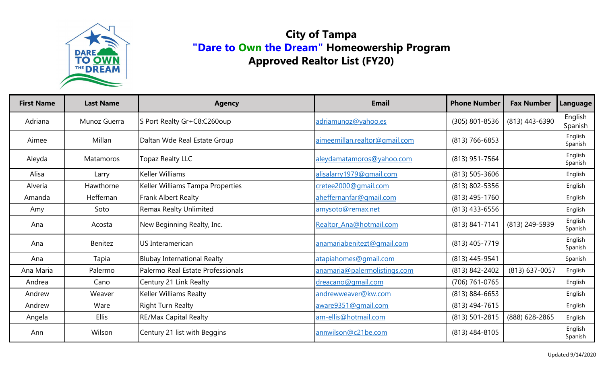

| <b>First Name</b> | <b>Last Name</b> | <b>Agency</b>                      | <b>Email</b>                  | <b>Phone Number</b> | <b>Fax Number</b> | <b>Language</b>    |
|-------------------|------------------|------------------------------------|-------------------------------|---------------------|-------------------|--------------------|
| Adriana           | Munoz Guerra     | S Port Realty Gr+C8:C260oup        | adriamunoz@yahoo.es           | (305) 801-8536      | (813) 443-6390    | English<br>Spanish |
| Aimee             | Millan           | Daltan Wde Real Estate Group       | aimeemillan.realtor@gmail.com | $(813)$ 766-6853    |                   | English<br>Spanish |
| Aleyda            | Matamoros        | <b>Topaz Realty LLC</b>            | aleydamatamoros@yahoo.com     | (813) 951-7564      |                   | English<br>Spanish |
| Alisa             | Larry            | <b>Keller Williams</b>             | alisalarry1979@qmail.com      | $(813)$ 505-3606    |                   | English            |
| Alveria           | Hawthorne        | Keller Williams Tampa Properties   | cretee2000@gmail.com          | (813) 802-5356      |                   | English            |
| Amanda            | Heffernan        | Frank Albert Realty                | aheffernanfar@gmail.com       | $(813)$ 495-1760    |                   | English            |
| Amy               | Soto             | <b>Remax Realty Unlimited</b>      | amysoto@remax.net             | $(813)$ 433-6556    |                   | English            |
| Ana               | Acosta           | New Beginning Realty, Inc.         | Realtor_Ana@hotmail.com       | (813) 841-7141      | (813) 249-5939    | English<br>Spanish |
| Ana               | Benitez          | US Interamerican                   | anamariabenitezt@gmail.com    | (813) 405-7719      |                   | English<br>Spanish |
| Ana               | Tapia            | <b>Blubay International Realty</b> | atapiahomes@gmail.com         | (813) 445-9541      |                   | Spanish            |
| Ana Maria         | Palermo          | Palermo Real Estate Professionals  | anamaria@palermolistings.com  | (813) 842-2402      | (813) 637-0057    | English            |
| Andrea            | Cano             | Century 21 Link Realty             | dreacano@gmail.com            | (706) 761-0765      |                   | English            |
| Andrew            | Weaver           | Keller Williams Realty             | andrewweaver@kw.com           | $(813) 884 - 6653$  |                   | English            |
| Andrew            | Ware             | <b>Right Turn Realty</b>           | aware9351@gmail.com           | $(813)$ 494-7615    |                   | English            |
| Angela            | <b>Ellis</b>     | <b>RE/Max Capital Realty</b>       | am-ellis@hotmail.com          | (813) 501-2815      | (888) 628-2865    | English            |
| Ann               | Wilson           | Century 21 list with Beggins       | annwilson@c21be.com           | $(813)$ 484-8105    |                   | English<br>Spanish |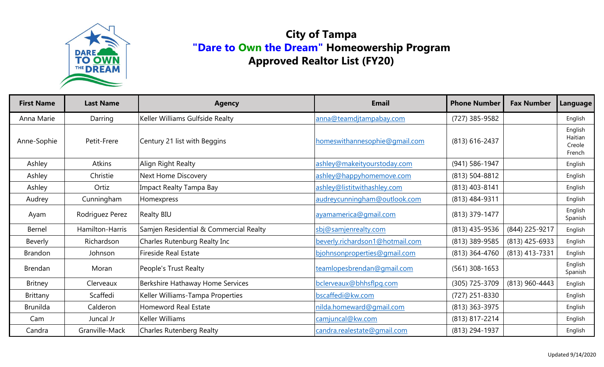

| <b>First Name</b> | <b>Last Name</b> | <b>Agency</b>                          | <b>Email</b>                    | <b>Phone Number</b> | <b>Fax Number</b> | Language                               |
|-------------------|------------------|----------------------------------------|---------------------------------|---------------------|-------------------|----------------------------------------|
| Anna Marie        | Darring          | Keller Williams Gulfside Realty        | anna@teamdjtampabay.com         | (727) 385-9582      |                   | English                                |
| Anne-Sophie       | Petit-Frere      | Century 21 list with Beggins           | homeswithannesophie@gmail.com   | (813) 616-2437      |                   | English<br>Haitian<br>Creole<br>French |
| Ashley            | Atkins           | Align Right Realty                     | ashley@makeityourstoday.com     | $(941) 586 - 1947$  |                   | English                                |
| Ashley            | Christie         | Next Home Discovery                    | ashley@happyhomemove.com        | (813) 504-8812      |                   | English                                |
| Ashley            | Ortiz            | <b>Impact Realty Tampa Bay</b>         | ashley@listitwithashley.com     | (813) 403-8141      |                   | English                                |
| Audrey            | Cunningham       | <b>Homexpress</b>                      | audreycunningham@outlook.com    | (813) 484-9311      |                   | English                                |
| Ayam              | Rodriguez Perez  | <b>Realty BIU</b>                      | ayamamerica@gmail.com           | (813) 379-1477      |                   | English<br>Spanish                     |
| Bernel            | Hamilton-Harris  | Samjen Residential & Commercial Realty | sbj@samjenrealty.com            | $(813)$ 435-9536    | (844) 225-9217    | English                                |
| Beverly           | Richardson       | Charles Rutenburg Realty Inc           | beverly.richardson1@hotmail.com | (813) 389-9585      | (813) 425-6933    | English                                |
| <b>Brandon</b>    | Johnson          | <b>Fireside Real Estate</b>            | bjohnsonproperties@gmail.com    | (813) 364-4760      | (813) 413-7331    | English                                |
| <b>Brendan</b>    | Moran            | People's Trust Realty                  | teamlopesbrendan@gmail.com      | $(561)$ 308-1653    |                   | English<br>Spanish                     |
| <b>Britney</b>    | Clerveaux        | Berkshire Hathaway Home Services       | bclerveaux@bhhsflpg.com         | (305) 725-3709      | (813) 960-4443    | English                                |
| Brittany          | Scaffedi         | Keller Williams-Tampa Properties       | bscaffedi@kw.com                | (727) 251-8330      |                   | English                                |
| <b>Brunilda</b>   | Calderon         | <b>Homeword Real Estate</b>            | nilda.homeward@gmail.com        | (813) 363-3975      |                   | English                                |
| Cam               | Juncal Jr        | Keller Williams                        | camjuncal@kw.com                | (813) 817-2214      |                   | English                                |
| Candra            | Granville-Mack   | <b>Charles Rutenberg Realty</b>        | candra.realestate@gmail.com     | (813) 294-1937      |                   | English                                |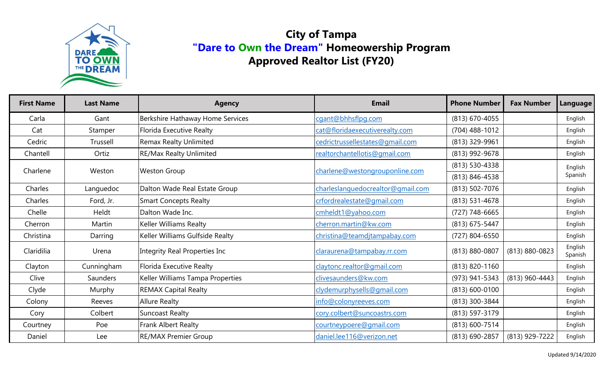

| <b>First Name</b> | <b>Last Name</b> | <b>Agency</b>                    | <b>Email</b>                      | <b>Phone Number</b> | <b>Fax Number</b> | Language           |
|-------------------|------------------|----------------------------------|-----------------------------------|---------------------|-------------------|--------------------|
| Carla             | Gant             | Berkshire Hathaway Home Services | cgant@bhhsflpg.com                | (813) 670-4055      |                   | English            |
| Cat               | Stamper          | Florida Executive Realty         | cat@floridaexecutiverealty.com    | (704) 488-1012      |                   | English            |
| Cedric            | Trussell         | <b>Remax Realty Unlimited</b>    | cedrictrussellestates@gmail.com   | (813) 329-9961      |                   | English            |
| Chantell          | Ortiz            | <b>RE/Max Realty Unlimited</b>   | realtorchantellotis@gmail.com     | (813) 992-9678      |                   | English            |
| Charlene          | Weston           | <b>Weston Group</b>              |                                   | $(813) 530 - 4338$  |                   | English<br>Spanish |
|                   |                  |                                  | charlene@westongrouponline.com    | (813) 846-4538      |                   |                    |
| Charles           | Languedoc        | Dalton Wade Real Estate Group    | charleslanguedocrealtor@gmail.com | (813) 502-7076      |                   | English            |
| Charles           | Ford, Jr.        | <b>Smart Concepts Realty</b>     | crfordrealestate@qmail.com        | $(813)$ 531-4678    |                   | English            |
| Chelle            | Heldt            | Dalton Wade Inc.                 | cmheldt1@yahoo.com                | $(727)$ 748-6665    |                   | English            |
| Cherron           | Martin           | <b>Keller Williams Realty</b>    | cherron.martin@kw.com             | (813) 675-5447      |                   | English            |
| Christina         | Darring          | Keller Williams Gulfside Realty  | christina@teamdjtampabay.com      | (727) 804-6550      |                   | English            |
| Claridilia        | Urena            | Integrity Real Properties Inc    | claraurena@tampabay.rr.com        | $(813) 880 - 0807$  | (813) 880-0823    | English<br>Spanish |
| Clayton           | Cunningham       | Florida Executive Realty         | claytonc.realtor@gmail.com        | (813) 820-1160      |                   | English            |
| Clive             | <b>Saunders</b>  | Keller Williams Tampa Properties | clivesaunders@kw.com              | (973) 941-5343      | (813) 960-4443    | English            |
| Clyde             | Murphy           | <b>REMAX Capital Realty</b>      | clydemurphysells@qmail.com        | (813) 600-0100      |                   | English            |
| Colony            | Reeves           | <b>Allure Realty</b>             | info@colonyreeves.com             | (813) 300-3844      |                   | English            |
| Cory              | Colbert          | <b>Suncoast Realty</b>           | cory.colbert@suncoastrs.com       | (813) 597-3179      |                   | English            |
| Courtney          | Poe              | Frank Albert Realty              | courtneypoere@gmail.com           | (813) 600-7514      |                   | English            |
| Daniel            | Lee              | <b>RE/MAX Premier Group</b>      | daniel.lee116@verizon.net         | (813) 690-2857      | (813) 929-7222    | English            |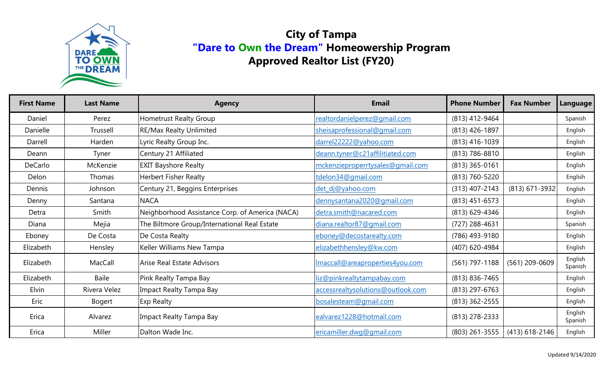

| <b>First Name</b> | <b>Last Name</b> | <b>Agency</b>                                   | <b>Email</b>                      | <b>Phone Number</b> | <b>Fax Number</b> | Language           |
|-------------------|------------------|-------------------------------------------------|-----------------------------------|---------------------|-------------------|--------------------|
| Daniel            | Perez            | <b>Hometrust Realty Group</b>                   | realtordanielperez@gmail.com      | (813) 412-9464      |                   | Spanish            |
| Danielle          | Trussell         | <b>RE/Max Realty Unlimited</b>                  | sheisaprofessional@gmail.com      | (813) 426-1897      |                   | English            |
| Darrell           | Harden           | Lyric Realty Group Inc.                         | darrel22222@yahoo.com             | $(813)$ 416-1039    |                   | English            |
| Deann             | Tyner            | Century 21 Affiliated                           | deann.tyner@c21affilitiated.com   | (813) 786-8810      |                   | English            |
| DeCarlo           | McKenzie         | <b>EXIT Bayshore Realty</b>                     | mckenzieproperrtysales@gmail.com  | $(813)$ 365-0161    |                   | English            |
| Delon             | Thomas           | <b>Herbert Fisher Realty</b>                    | tdelon34@gmail.com                | (813) 760-5220      |                   | English            |
| Dennis            | Johnson          | Century 21, Beggins Enterprises                 | det_dj@yahoo.com                  | $(313)$ 407-2143    | (813) 671-3932    | English            |
| Denny             | Santana          | <b>NACA</b>                                     | dennysantana2020@gmail.com        | $(813)$ 451-6573    |                   | English            |
| Detra             | Smith            | Neighborhood Assistance Corp. of America (NACA) | detra.smith@nacared.com           | (813) 629-4346      |                   | English            |
| Diana             | Mejia            | The Biltmore Group/International Real Estate    | diana.realtor87@gmail.com         | $(727)$ 288-4631    |                   | Spanish            |
| Eboney            | De Costa         | De Costa Realty                                 | eboney@decostarealty.com          | (786) 493-9180      |                   | English            |
| Elizabeth         | Hensley          | Keller Williams New Tampa                       | elizabethhensley@kw.com           | (407) 620-4984      |                   | English            |
| Elizabeth         | MacCall          | <b>Arise Real Estate Advisors</b>               | Imaccall@areaproperties4you.com   | $(561)$ 797-1188    | (561) 209-0609    | English<br>Spanish |
| Elizabeth         | Baile            | Pink Realty Tampa Bay                           | liz@pinkrealtytampabay.com        | $(813) 836 - 7465$  |                   | English            |
| Elvin             | Rivera Velez     | Impact Realty Tampa Bay                         | accessrealtysolutions@outlook.com | $(813)$ 297-6763    |                   | English            |
| Eric              | Bogert           | Exp Realty                                      | bosalesteam@gmail.com             | (813) 362-2555      |                   | English            |
| Erica             | Alvarez          | Impact Realty Tampa Bay                         | ealvarez1228@hotmail.com          | $(813)$ 278-2333    |                   | English<br>Spanish |
| Erica             | Miller           | Dalton Wade Inc.                                | ericamiller.dwg@gmail.com         | $(803)$ 261-3555    | $(413)$ 618-2146  | English            |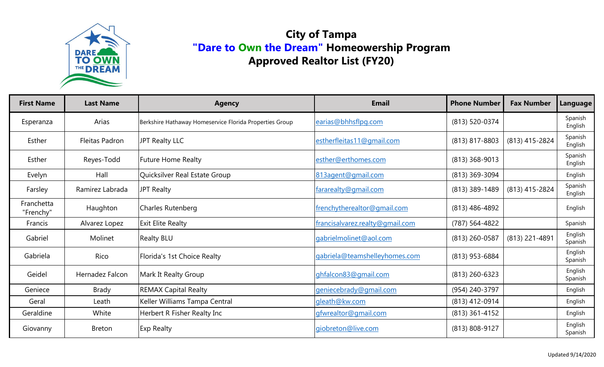

| <b>First Name</b>       | <b>Last Name</b> | <b>Agency</b>                                           | <b>Email</b>                    | <b>Phone Number</b> | <b>Fax Number</b> | Language           |
|-------------------------|------------------|---------------------------------------------------------|---------------------------------|---------------------|-------------------|--------------------|
| Esperanza               | Arias            | Berkshire Hathaway Homeservice Florida Properties Group | earias@bhhsflpg.com             | (813) 520-0374      |                   | Spanish<br>English |
| Esther                  | Fleitas Padron   | JPT Realty LLC                                          | estherfleitas11@gmail.com       | (813) 817-8803      | (813) 415-2824    | Spanish<br>English |
| Esther                  | Reyes-Todd       | <b>Future Home Realty</b>                               | esther@erthomes.com             | $(813)$ 368-9013    |                   | Spanish<br>English |
| Evelyn                  | Hall             | Quicksilver Real Estate Group                           | 813agent@gmail.com              | (813) 369-3094      |                   | English            |
| Farsley                 | Ramirez Labrada  | JPT Realty                                              | fararealty@qmail.com            | $(813)$ 389-1489    | (813) 415-2824    | Spanish<br>English |
| Franchetta<br>"Frenchy" | Haughton         | Charles Rutenberg                                       | frenchytherealtor@gmail.com     | $(813)$ 486-4892    |                   | English            |
| Francis                 | Alvarez Lopez    | <b>Exit Elite Realty</b>                                | francisalvarez.realty@gmail.com | (787) 564-4822      |                   | Spanish            |
| Gabriel                 | Molinet          | <b>Realty BLU</b>                                       | gabrielmolinet@aol.com          | (813) 260-0587      | (813) 221-4891    | English<br>Spanish |
| Gabriela                | Rico             | Florida's 1st Choice Realty                             | gabriela@teamshelleyhomes.com   | (813) 953-6884      |                   | English<br>Spanish |
| Geidel                  | Hernadez Falcon  | Mark It Realty Group                                    | ghfalcon83@gmail.com            | $(813)$ 260-6323    |                   | English<br>Spanish |
| Geniece                 | <b>Brady</b>     | <b>REMAX Capital Realty</b>                             | geniecebrady@gmail.com          | (954) 240-3797      |                   | English            |
| Geral                   | Leath            | Keller Williams Tampa Central                           | gleath@kw.com                   | (813) 412-0914      |                   | English            |
| Geraldine               | White            | Herbert R Fisher Realty Inc                             | gfwrealtor@gmail.com            | $(813)$ 361-4152    |                   | English            |
| Giovanny                | <b>Breton</b>    | <b>Exp Realty</b>                                       | giobreton@live.com              | (813) 808-9127      |                   | English<br>Spanish |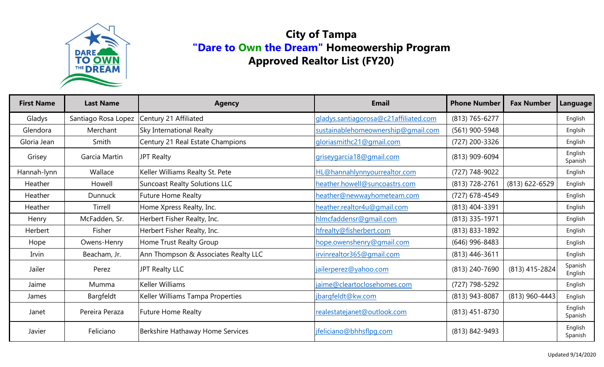

| <b>First Name</b> | <b>Last Name</b>    | <b>Agency</b>                        | <b>Email</b>                          | <b>Phone Number</b> | <b>Fax Number</b> | Language           |
|-------------------|---------------------|--------------------------------------|---------------------------------------|---------------------|-------------------|--------------------|
| Gladys            | Santiago Rosa Lopez | Century 21 Affiliated                | gladys.santiagorosa@c21affiliated.com | (813) 765-6277      |                   | English            |
| Glendora          | Merchant            | Sky International Realty             | sustainablehomeownership@qmail.com    | (561) 900-5948      |                   | Englsih            |
| Gloria Jean       | Smith               | Century 21 Real Estate Champions     | glorias mithc21@gmail.com             | (727) 200-3326      |                   | English            |
| Grisey            | Garcia Martin       | <b>JPT Realty</b>                    | griseygarcia18@gmail.com              | (813) 909-6094      |                   | English<br>Spanish |
| Hannah-lynn       | Wallace             | Keller Williams Realty St. Pete      | HL@hannahlynnyourrealtor.com          | (727) 748-9022      |                   | English            |
| Heather           | Howell              | <b>Suncoast Realty Solutions LLC</b> | heather.howell@suncoastrs.com         | (813) 728-2761      | $(813)$ 622-6529  | English            |
| Heather           | <b>Dunnuck</b>      | <b>Future Home Realty</b>            | heather@newwayhometeam.com            | (727) 678-4549      |                   | English            |
| Heather           | Tirrell             | Home Xpress Realty, Inc.             | heather.realtor4u@qmail.com           | (813) 404-3391      |                   | English            |
| Henry             | McFadden, Sr.       | Herbert Fisher Realty, Inc.          | hlmcfaddensr@gmail.com                | (813) 335-1971      |                   | English            |
| Herbert           | Fisher              | Herbert Fisher Realty, Inc.          | hfrealty@fisherbert.com               | (813) 833-1892      |                   | English            |
| Hope              | Owens-Henry         | Home Trust Realty Group              | hope.owenshenry@gmail.com             | $(646)$ 996-8483    |                   | English            |
| Irvin             | Beacham, Jr.        | Ann Thompson & Associates Realty LLC | irvinrealtor365@gmail.com             | $(813)$ 446-3611    |                   | English            |
| Jailer            | Perez               | JPT Realty LLC                       | jailerperez@yahoo.com                 | (813) 240-7690      | (813) 415-2824    | Spanish<br>English |
| Jaime             | Mumma               | Keller Williams                      | jaime@cleartoclosehomes.com           | (727) 798-5292      |                   | English            |
| James             | Bargfeldt           | Keller Williams Tampa Properties     | jbargfeldt@kw.com                     | (813) 943-8087      | (813) 960-4443    | English            |
| Janet             | Pereira Peraza      | <b>Future Home Realty</b>            | realestatejanet@outlook.com           | $(813)$ 451-8730    |                   | English<br>Spanish |
| Javier            | Feliciano           | Berkshire Hathaway Home Services     | jfeliciano@bhhsflpg.com               | (813) 842-9493      |                   | English<br>Spanish |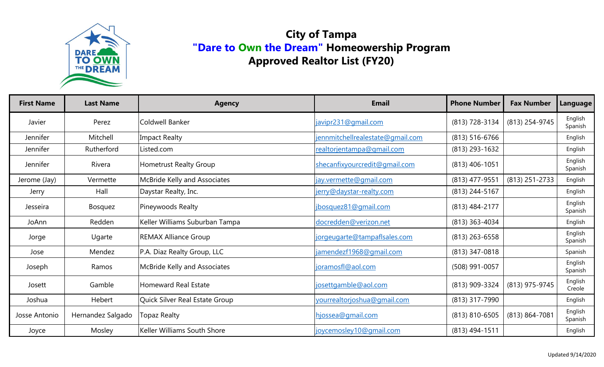

| <b>First Name</b> | <b>Last Name</b>  | <b>Agency</b>                  | <b>Email</b>                     | <b>Phone Number</b> | <b>Fax Number</b>  | <b>Language</b>    |
|-------------------|-------------------|--------------------------------|----------------------------------|---------------------|--------------------|--------------------|
| Javier            | Perez             | Coldwell Banker                | javipr231@gmail.com              | (813) 728-3134      | (813) 254-9745     | English<br>Spanish |
| Jennifer          | Mitchell          | <b>Impact Realty</b>           | jennmitchellrealestate@gmail.com | $(813) 516 - 6766$  |                    | English            |
| Jennifer          | Rutherford        | Listed.com                     | realtorjentampa@qmail.com        | $(813)$ 293-1632    |                    | English            |
| Jennifer          | Rivera            | <b>Hometrust Realty Group</b>  | shecanfixyourcredit@gmail.com    | $(813)$ 406-1051    |                    | English<br>Spanish |
| Jerome (Jay)      | Vermette          | McBride Kelly and Associates   | jay.vermette@gmail.com           | (813) 477-9551      | (813) 251-2733     | English            |
| Jerry             | Hall              | Daystar Realty, Inc.           | jerry@daystar-realty.com         | (813) 244-5167      |                    | English            |
| Jesseira          | Bosquez           | Pineywoods Realty              | jbosquez81@gmail.com             | (813) 484-2177      |                    | English<br>Spanish |
| JoAnn             | Redden            | Keller Williams Suburban Tampa | docredden@verizon.net            | (813) 363-4034      |                    | English            |
| Jorge             | Ugarte            | <b>REMAX Alliance Group</b>    | jorgeugarte@tampaflsales.com     | $(813)$ 263-6558    |                    | English<br>Spanish |
| Jose              | Mendez            | P.A. Diaz Realty Group, LLC    | jamendezf1968@qmail.com          | (813) 347-0818      |                    | Spanish            |
| Joseph            | Ramos             | McBride Kelly and Associates   | joramosfl@aol.com                | (508) 991-0057      |                    | English<br>Spanish |
| Josett            | Gamble            | <b>Homeward Real Estate</b>    | josettgamble@aol.com             | (813) 909-3324      | (813) 975-9745     | English<br>Creole  |
| Joshua            | Hebert            | Quick Silver Real Estate Group | yourrealtorjoshua@gmail.com      | (813) 317-7990      |                    | English            |
| Josse Antonio     | Hernandez Salgado | <b>Topaz Realty</b>            | hjossea@gmail.com                | $(813) 810 - 6505$  | $(813) 864 - 7081$ | English<br>Spanish |
| Joyce             | Mosley            | Keller Williams South Shore    | joycemosley10@gmail.com          | $(813)$ 494-1511    |                    | English            |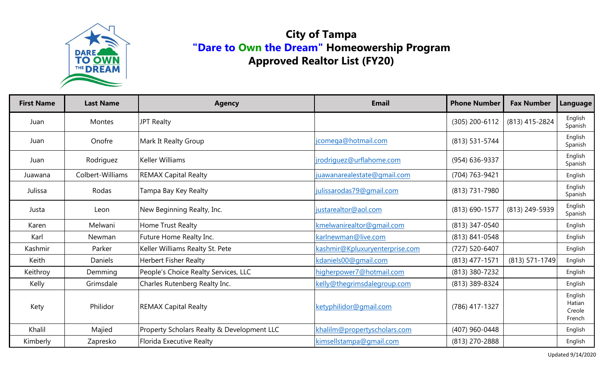

| <b>First Name</b> | <b>Last Name</b> | <b>Agency</b>                              | <b>Email</b>                   | <b>Phone Number</b> | <b>Fax Number</b> | Language                              |
|-------------------|------------------|--------------------------------------------|--------------------------------|---------------------|-------------------|---------------------------------------|
| Juan              | Montes           | <b>JPT Realty</b>                          |                                | (305) 200-6112      | (813) 415-2824    | English<br>Spanish                    |
| Juan              | Onofre           | Mark It Realty Group                       | jcomega@hotmail.com            | (813) 531-5744      |                   | English<br>Spanish                    |
| Juan              | Rodriguez        | <b>Keller Williams</b>                     | jrodriguez@urflahome.com       | (954) 636-9337      |                   | English<br>Spanish                    |
| Juawana           | Colbert-Williams | <b>REMAX Capital Realty</b>                | juawanarealestate@gmail.com    | (704) 763-9421      |                   | English                               |
| Julissa           | Rodas            | Tampa Bay Key Realty                       | julissarodas79@gmail.com       | (813) 731-7980      |                   | English<br>Spanish                    |
| Justa             | Leon             | New Beginning Realty, Inc.                 | justarealtor@aol.com           | (813) 690-1577      | (813) 249-5939    | English<br>Spanish                    |
| Karen             | Melwani          | Home Trust Realty                          | kmelwanirealtor@gmail.com      | (813) 347-0540      |                   | English                               |
| Karl              | Newman           | Future Home Realty Inc.                    | karlnewman@live.com            | (813) 841-0548      |                   | English                               |
| Kashmir           | Parker           | Keller Williams Realty St. Pete            | kashmir@Kpluxuryenterprise.com | (727) 520-6407      |                   | English                               |
| Keith             | Daniels          | <b>Herbert Fisher Realty</b>               | kdaniels00@gmail.com           | (813) 477-1571      | (813) 571-1749    | English                               |
| Keithroy          | Demming          | People's Choice Realty Services, LLC       | higherpower7@hotmail.com       | (813) 380-7232      |                   | English                               |
| Kelly             | Grimsdale        | Charles Rutenberg Realty Inc.              | kelly@thegrimsdalegroup.com    | (813) 389-8324      |                   | English                               |
| Kety              | Philidor         | <b>REMAX Capital Realty</b>                | ketyphilidor@gmail.com         | (786) 417-1327      |                   | English<br>Hatian<br>Creole<br>French |
| Khalil            | Majied           | Property Scholars Realty & Development LLC | khalilm@propertyscholars.com   | (407) 960-0448      |                   | English                               |
| Kimberly          | Zapresko         | <b>Florida Executive Realty</b>            | kimsellstampa@gmail.com        | (813) 270-2888      |                   | English                               |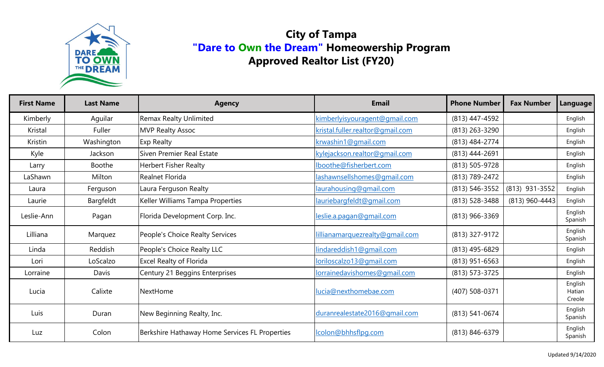

| <b>First Name</b> | <b>Last Name</b> | <b>Agency</b>                                  | <b>Email</b>                     | <b>Phone Number</b> | <b>Fax Number</b> | Language                    |
|-------------------|------------------|------------------------------------------------|----------------------------------|---------------------|-------------------|-----------------------------|
| Kimberly          | Aquilar          | <b>Remax Realty Unlimited</b>                  | kimberlyisyouragent@gmail.com    | (813) 447-4592      |                   | English                     |
| Kristal           | Fuller           | <b>MVP Realty Assoc</b>                        | kristal.fuller.realtor@gmail.com | (813) 263-3290      |                   | English                     |
| Kristin           | Washington       | <b>Exp Realty</b>                              | krwashin1@gmail.com              | (813) 484-2774      |                   | English                     |
| Kyle              | Jackson          | Siven Premier Real Estate                      | kylejackson.realtor@gmail.com    | (813) 444-2691      |                   | English                     |
| Larry             | <b>Boothe</b>    | <b>Herbert Fisher Realty</b>                   | lboothe@fisherbert.com           | (813) 505-9728      |                   | English                     |
| LaShawn           | Milton           | <b>Realnet Florida</b>                         | lashawnsellshomes@gmail.com      | (813) 789-2472      |                   | English                     |
| Laura             | Ferguson         | Laura Ferguson Realty                          | laurahousing@gmail.com           | (813) 546-3552      | (813) 931-3552    | English                     |
| Laurie            | Bargfeldt        | Keller Williams Tampa Properties               | lauriebargfeldt@gmail.com        | (813) 528-3488      | (813) 960-4443    | English                     |
| Leslie-Ann        | Pagan            | Florida Development Corp. Inc.                 | leslie.a.pagan@gmail.com         | $(813)$ 966-3369    |                   | English<br>Spanish          |
| Lilliana          | Marquez          | People's Choice Realty Services                | lillianamarquezrealty@gmail.com  | (813) 327-9172      |                   | English<br>Spanish          |
| Linda             | Reddish          | People's Choice Realty LLC                     | lindareddish1@gmail.com          | (813) 495-6829      |                   | English                     |
| Lori              | LoScalzo         | <b>Excel Realty of Florida</b>                 | loriloscalzo13@qmail.com         | $(813)$ 951-6563    |                   | English                     |
| Lorraine          | Davis            | Century 21 Beggins Enterprises                 | lorrainedavishomes@gmail.com     | (813) 573-3725      |                   | English                     |
| Lucia             | Calixte          | NextHome                                       | lucia@nexthomebae.com            | (407) 508-0371      |                   | English<br>Hatian<br>Creole |
| Luis              | Duran            | New Beginning Realty, Inc.                     | duranrealestate2016@qmail.com    | $(813) 541 - 0674$  |                   | English<br>Spanish          |
| Luz               | Colon            | Berkshire Hathaway Home Services FL Properties | lcolon@bhhsflpg.com              | (813) 846-6379      |                   | English<br>Spanish          |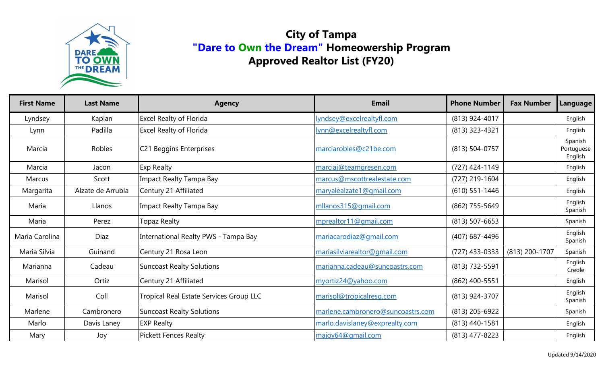

| <b>First Name</b> | <b>Last Name</b>  | <b>Agency</b>                           | <b>Email</b>                      | <b>Phone Number</b> | <b>Fax Number</b> | Language                         |
|-------------------|-------------------|-----------------------------------------|-----------------------------------|---------------------|-------------------|----------------------------------|
| Lyndsey           | Kaplan            | <b>Excel Realty of Florida</b>          | lyndsey@excelrealtyfl.com         | (813) 924-4017      |                   | English                          |
| Lynn              | Padilla           | <b>Excel Realty of Florida</b>          | lynn@excelrealtyfl.com            | (813) 323-4321      |                   | English                          |
| Marcia            | Robles            | C21 Beggins Enterprises                 | marciarobles@c21be.com            | (813) 504-0757      |                   | Spanish<br>Portuguese<br>English |
| Marcia            | Jacon             | <b>Exp Realty</b>                       | marciaj@teamgresen.com            | (727) 424-1149      |                   | English                          |
| Marcus            | Scott             | <b>Impact Realty Tampa Bay</b>          | marcus@mscottrealestate.com       | (727) 219-1604      |                   | English                          |
| Margarita         | Alzate de Arrubla | Century 21 Affiliated                   | maryalealzate1@qmail.com          | $(610)$ 551-1446    |                   | English                          |
| Maria             | Llanos            | Impact Realty Tampa Bay                 | mllanos315@gmail.com              | (862) 755-5649      |                   | English<br>Spanish               |
| Maria             | Perez             | <b>Topaz Realty</b>                     | mprealtor11@gmail.com             | $(813) 507 - 6653$  |                   | Spanish                          |
| Maria Carolina    | <b>Diaz</b>       | International Realty PWS - Tampa Bay    | mariacarodiaz@gmail.com           | (407) 687-4496      |                   | English<br>Spanish               |
| Maria Silvia      | Guinand           | Century 21 Rosa Leon                    | mariasilviarealtor@gmail.com      | (727) 433-0333      | (813) 200-1707    | Spanish                          |
| Marianna          | Cadeau            | <b>Suncoast Realty Solutions</b>        | marianna.cadeau@suncoastrs.com    | (813) 732-5591      |                   | English<br>Creole                |
| Marisol           | Ortiz             | Century 21 Affiliated                   | myortiz24@yahoo.com               | (862) 400-5551      |                   | English                          |
| Marisol           | Coll              | Tropical Real Estate Services Group LLC | marisol@tropicalresg.com          | (813) 924-3707      |                   | English<br>Spanish               |
| Marlene           | Cambronero        | <b>Suncoast Realty Solutions</b>        | marlene.cambronero@suncoastrs.com | (813) 205-6922      |                   | Spanish                          |
| Marlo             | Davis Laney       | <b>EXP Realty</b>                       | marlo.davislaney@exprealty.com    | $(813)$ 440-1581    |                   | English                          |
| Mary              | Joy               | <b>Pickett Fences Realty</b>            | majoy64@gmail.com                 | $(813)$ 477-8223    |                   | English                          |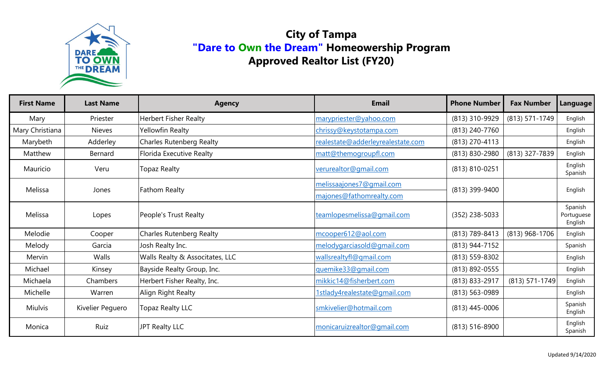

| <b>First Name</b> | <b>Last Name</b> | <b>Agency</b>                   | <b>Email</b>                      | <b>Phone Number</b> | <b>Fax Number</b> | <b>Language</b>                  |
|-------------------|------------------|---------------------------------|-----------------------------------|---------------------|-------------------|----------------------------------|
| Mary              | Priester         | <b>Herbert Fisher Realty</b>    | marypriester@yahoo.com            | (813) 310-9929      | (813) 571-1749    | English                          |
| Mary Christiana   | <b>Nieves</b>    | Yellowfin Realty                | chrissy@keystotampa.com           | (813) 240-7760      |                   | English                          |
| Marybeth          | Adderley         | <b>Charles Rutenberg Realty</b> | realestate@adderleyrealestate.com | (813) 270-4113      |                   | English                          |
| Matthew           | Bernard          | Florida Executive Realty        | matt@themogroupfl.com             | (813) 830-2980      | (813) 327-7839    | English                          |
| Mauricio          | Veru             | <b>Topaz Realty</b>             | verurealtor@gmail.com             | (813) 810-0251      |                   | English<br>Spanish               |
| Melissa           | Jones            | <b>Fathom Realty</b>            | melissaajones7@gmail.com          | (813) 399-9400      |                   | English                          |
|                   |                  |                                 | majones@fathomrealty.com          |                     |                   |                                  |
| Melissa           | Lopes            | People's Trust Realty           | teamlopesmelissa@qmail.com        | $(352)$ 238-5033    |                   | Spanish<br>Portuguese<br>English |
| Melodie           | Cooper           | Charles Rutenberg Realty        | mcooper612@aol.com                | (813) 789-8413      | (813) 968-1706    | English                          |
| Melody            | Garcia           | Josh Realty Inc.                | melodygarciasold@gmail.com        | (813) 944-7152      |                   | Spanish                          |
| Mervin            | Walls            | Walls Realty & Associtates, LLC | wallsrealtyfl@gmail.com           | (813) 559-8302      |                   | English                          |
| Michael           | Kinsey           | Bayside Realty Group, Inc.      | guemike33@gmail.com               | (813) 892-0555      |                   | English                          |
| Michaela          | Chambers         | Herbert Fisher Realty, Inc.     | mikkic14@fisherbert.com           | (813) 833-2917      | (813) 571-1749    | English                          |
| Michelle          | Warren           | Align Right Realty              | 1stlady4realestate@gmail.com      | (813) 563-0989      |                   | English                          |
| <b>Miulvis</b>    | Kivelier Peguero | <b>Topaz Realty LLC</b>         | smkivelier@hotmail.com            | $(813)$ 445-0006    |                   | Spanish<br>English               |
| Monica            | Ruiz             | JPT Realty LLC                  | monicaruizrealtor@gmail.com       | $(813) 516 - 8900$  |                   | English<br>Spanish               |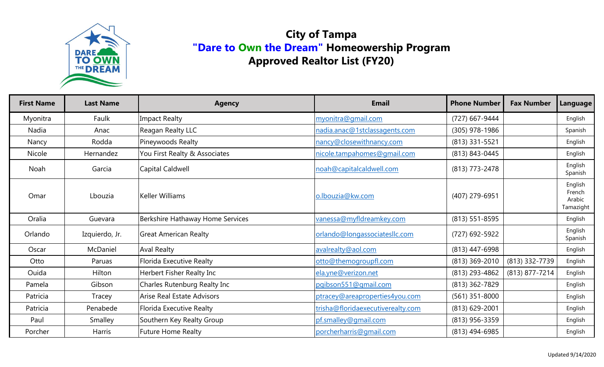

| <b>First Name</b> | <b>Last Name</b> | <b>Agency</b>                     | <b>Email</b>                      | <b>Phone Number</b> | <b>Fax Number</b> | <b>Language</b>                          |
|-------------------|------------------|-----------------------------------|-----------------------------------|---------------------|-------------------|------------------------------------------|
| Myonitra          | Faulk            | Impact Realty                     | myonitra@gmail.com                | (727) 667-9444      |                   | English                                  |
| Nadia             | Anac             | Reagan Realty LLC                 | nadia.anac@1stclassagents.com     | (305) 978-1986      |                   | Spanish                                  |
| Nancy             | Rodda            | Pineywoods Realty                 | nancy@closewithnancy.com          | (813) 331-5521      |                   | English                                  |
| Nicole            | Hernandez        | You First Realty & Associates     | nicole.tampahomes@gmail.com       | (813) 843-0445      |                   | English                                  |
| Noah              | Garcia           | Capital Caldwell                  | noah@capitalcaldwell.com          | (813) 773-2478      |                   | English<br>Spanish                       |
| Omar              | Lbouzia          | Keller Williams                   | o.lbouzia@kw.com                  | (407) 279-6951      |                   | English<br>French<br>Arabic<br>Tamazight |
| Oralia            | Guevara          | Berkshire Hathaway Home Services  | vanessa@myfldreamkey.com          | $(813) 551 - 8595$  |                   | English                                  |
| Orlando           | Izquierdo, Jr.   | <b>Great American Realty</b>      | orlando@longassociatesllc.com     | (727) 692-5922      |                   | English<br>Spanish                       |
| Oscar             | McDaniel         | <b>Aval Realty</b>                | avalrealty@aol.com                | (813) 447-6998      |                   | English                                  |
| Otto              | Paruas           | <b>Florida Executive Realty</b>   | otto@themogroupfl.com             | (813) 369-2010      | (813) 332-7739    | English                                  |
| Ouida             | Hilton           | Herbert Fisher Realty Inc         | ela.yne@verizon.net               | (813) 293-4862      | (813) 877-7214    | English                                  |
| Pamela            | Gibson           | Charles Rutenburg Realty Inc      | pgibson551@gmail.com              | (813) 362-7829      |                   | English                                  |
| Patricia          | Tracey           | <b>Arise Real Estate Advisors</b> | ptracey@areaproperties4you.com    | $(561)$ 351-8000    |                   | English                                  |
| Patricia          | Penabede         | <b>Florida Executive Realty</b>   | trisha@floridaexecutiverealty.com | $(813)$ 629-2001    |                   | English                                  |
| Paul              | Smalley          | Southern Key Realty Group         | pf.smalley@gmail.com              | (813) 956-3359      |                   | English                                  |
| Porcher           | <b>Harris</b>    | <b>Future Home Realty</b>         | porcherharris@gmail.com           | (813) 494-6985      |                   | English                                  |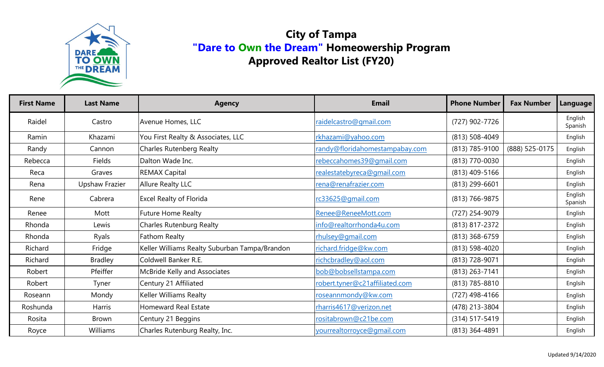

| <b>First Name</b> | <b>Last Name</b>      | <b>Agency</b>                                 | <b>Email</b>                   | <b>Phone Number</b> | <b>Fax Number</b> | Language           |
|-------------------|-----------------------|-----------------------------------------------|--------------------------------|---------------------|-------------------|--------------------|
| Raidel            | Castro                | Avenue Homes, LLC                             | raidelcastro@gmail.com         | (727) 902-7726      |                   | English<br>Spanish |
| Ramin             | Khazami               | You First Realty & Associates, LLC            | rkhazami@yahoo.com             | $(813) 508 - 4049$  |                   | English            |
| Randy             | Cannon                | <b>Charles Rutenberg Realty</b>               | randy@floridahomestampabay.com | (813) 785-9100      | (888) 525-0175    | English            |
| Rebecca           | Fields                | Dalton Wade Inc.                              | rebeccahomes39@qmail.com       | (813) 770-0030      |                   | English            |
| Reca              | Graves                | <b>REMAX Capital</b>                          | realestatebyreca@gmail.com     | (813) 409-5166      |                   | English            |
| Rena              | <b>Upshaw Frazier</b> | <b>Allure Realty LLC</b>                      | rena@renafrazier.com           | (813) 299-6601      |                   | English            |
| Rene              | Cabrera               | <b>Excel Realty of Florida</b>                | rc33625@gmail.com              | (813) 766-9875      |                   | English<br>Spanish |
| Renee             | Mott                  | <b>Future Home Realty</b>                     | Renee@ReneeMott.com            | (727) 254-9079      |                   | English            |
| Rhonda            | Lewis                 | <b>Charles Rutenburg Realty</b>               | info@realtorrhonda4u.com       | (813) 817-2372      |                   | English            |
| Rhonda            | Ryals                 | Fathom Realty                                 | rhulsey@gmail.com              | (813) 368-6759      |                   | English            |
| Richard           | Fridge                | Keller Williams Realty Suburban Tampa/Brandon | richard.fridge@kw.com          | (813) 598-4020      |                   | English            |
| Richard           | <b>Bradley</b>        | Coldwell Banker R.E.                          | richcbradley@aol.com           | (813) 728-9071      |                   | English            |
| Robert            | Pfeiffer              | McBride Kelly and Associates                  | bob@bobsellstampa.com          | (813) 263-7141      |                   | English            |
| Robert            | Tyner                 | Century 21 Affiliated                         | robert.tyner@c21affiliated.com | (813) 785-8810      |                   | Englsih            |
| Roseann           | Mondy                 | Keller Williams Realty                        | roseannmondy@kw.com            | (727) 498-4166      |                   | English            |
| Roshunda          | <b>Harris</b>         | <b>Homeward Real Estate</b>                   | rharris4617@verizon.net        | (478) 213-3804      |                   | English            |
| Rosita            | <b>Brown</b>          | Century 21 Beggins                            | rositabrown@c21be.com          | (314) 517-5419      |                   | English            |
| Royce             | Williams              | Charles Rutenburg Realty, Inc.                | vourrealtorroyce@gmail.com     | (813) 364-4891      |                   | English            |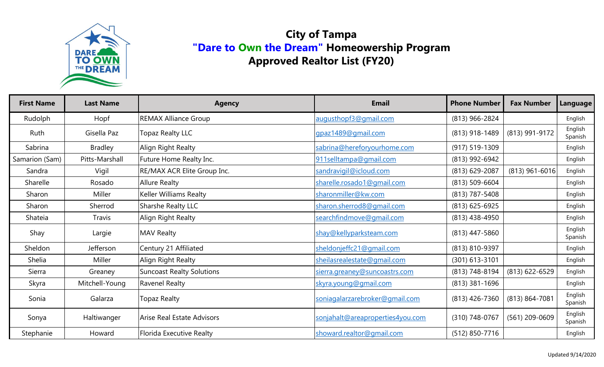

| <b>First Name</b> | <b>Last Name</b> | <b>Agency</b>                    | <b>Email</b>                     | <b>Phone Number</b> | <b>Fax Number</b>  | <b>Language</b>    |
|-------------------|------------------|----------------------------------|----------------------------------|---------------------|--------------------|--------------------|
| Rudolph           | Hopf             | <b>REMAX Alliance Group</b>      | augusthopf3@gmail.com            | (813) 966-2824      |                    | English            |
| Ruth              | Gisella Paz      | <b>Topaz Realty LLC</b>          | gpaz1489@gmail.com               | (813) 918-1489      | (813) 991-9172     | English<br>Spanish |
| Sabrina           | <b>Bradley</b>   | Align Right Realty               | sabrina@hereforyourhome.com      | $(917) 519 - 1309$  |                    | English            |
| Samarion (Sam)    | Pitts-Marshall   | Future Home Realty Inc.          | 911selltampa@gmail.com           | (813) 992-6942      |                    | English            |
| Sandra            | Vigil            | RE/MAX ACR Elite Group Inc.      | sandravigil@icloud.com           | (813) 629-2087      | (813) 961-6016     | English            |
| Sharelle          | Rosado           | <b>Allure Realty</b>             | sharelle.rosado1@gmail.com       | (813) 509-6604      |                    | English            |
| Sharon            | Miller           | Keller Williams Realty           | sharonmiller@kw.com              | (813) 787-5408      |                    | English            |
| Sharon            | Sherrod          | Sharshe Realty LLC               | sharon.sherrod8@gmail.com        | $(813)$ 625-6925    |                    | English            |
| Shateia           | Travis           | Align Right Realty               | searchfindmove@gmail.com         | (813) 438-4950      |                    | English            |
| Shay              | Largie           | <b>MAV Realty</b>                | shay@kellyparksteam.com          | $(813)$ 447-5860    |                    | English<br>Spanish |
| Sheldon           | Jefferson        | Century 21 Affiliated            | sheldonjeffc21@gmail.com         | (813) 810-9397      |                    | English            |
| Shelia            | Miller           | Align Right Realty               | sheilasrealestate@gmail.com      | $(301)$ 613-3101    |                    | English            |
| Sierra            | Greaney          | <b>Suncoast Realty Solutions</b> | sierra.greaney@suncoastrs.com    | (813) 748-8194      | (813) 622-6529     | English            |
| Skyra             | Mitchell-Young   | Ravenel Realty                   | skyra.young@gmail.com            | $(813)$ 381-1696    |                    | English            |
| Sonia             | Galarza          | <b>Topaz Realty</b>              | soniagalarzarebroker@gmail.com   | $(813)$ 426-7360    | $(813) 864 - 7081$ | English<br>Spanish |
| Sonya             | Haltiwanger      | Arise Real Estate Advisors       | sonjahalt@areaproperties4you.com | (310) 748-0767      | (561) 209-0609     | English<br>Spanish |
| Stephanie         | Howard           | <b>Florida Executive Realty</b>  | showard.realtor@gmail.com        | (512) 850-7716      |                    | English            |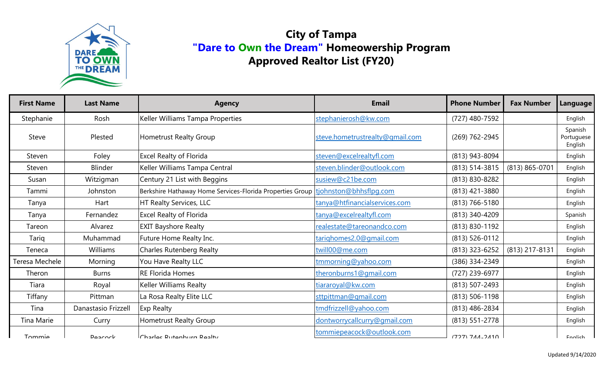

| <b>First Name</b> | <b>Last Name</b>    | <b>Agency</b>                                                                    | <b>Email</b>                    | <b>Phone Number</b>  | <b>Fax Number</b> | Language                         |
|-------------------|---------------------|----------------------------------------------------------------------------------|---------------------------------|----------------------|-------------------|----------------------------------|
| Stephanie         | Rosh                | Keller Williams Tampa Properties                                                 | stephanierosh@kw.com            | (727) 480-7592       |                   | English                          |
| <b>Steve</b>      | Plested             | Hometrust Realty Group                                                           | steve.hometrustrealty@gmail.com | (269) 762-2945       |                   | Spanish<br>Portuguese<br>English |
| Steven            | Foley               | <b>Excel Realty of Florida</b>                                                   | steven@excelrealtyfl.com        | (813) 943-8094       |                   | English                          |
| Steven            | <b>Blinder</b>      | Keller Williams Tampa Central                                                    | steven.blinder@outlook.com      | $(813)$ 514-3815     | (813) 865-0701    | English                          |
| Susan             | Witzigman           | Century 21 List with Beggins                                                     | susiew@c21be.com                | (813) 830-8282       |                   | English                          |
| Tammi             | Johnston            | Berkshire Hathaway Home Services-Florida Properties Group tiohnston@bhhsflpg.com |                                 | $(813)$ 421-3880     |                   | English                          |
| Tanya             | Hart                | HT Realty Services, LLC                                                          | tanya@htfinancialservices.com   | $(813) 766 - 5180$   |                   | English                          |
| Tanya             | Fernandez           | <b>Excel Realty of Florida</b>                                                   | tanya@excelrealtyfl.com         | (813) 340-4209       |                   | Spanish                          |
| Tareon            | Alvarez             | <b>EXIT Bayshore Realty</b>                                                      | realestate@tareonandco.com      | (813) 830-1192       |                   | English                          |
| Tariq             | Muhammad            | Future Home Realty Inc.                                                          | tarighomes2.0@gmail.com         | (813) 526-0112       |                   | English                          |
| Teneca            | Williams            | <b>Charles Rutenberg Realty</b>                                                  | twill00@me.com                  | $(813)$ 323-6252     | (813) 217-8131    | English                          |
| Teresa Mechele    | Morning             | You Have Realty LLC                                                              | tmmorning@yahoo.com             | (386) 334-2349       |                   | English                          |
| Theron            | <b>Burns</b>        | <b>RE Florida Homes</b>                                                          | theronburns1@gmail.com          | (727) 239-6977       |                   | English                          |
| Tiara             | Royal               | <b>Keller Williams Realty</b>                                                    | tiararoyal@kw.com               | (813) 507-2493       |                   | English                          |
| Tiffany           | Pittman             | La Rosa Realty Elite LLC                                                         | sttpittman@gmail.com            | $(813) 506 - 1198$   |                   | English                          |
| Tina              | Danastasio Frizzell | <b>Exp Realty</b>                                                                | tmdfrizzell@yahoo.com           | (813) 486-2834       |                   | English                          |
| Tina Marie        | Curry               | Hometrust Realty Group                                                           | dontworrycallcurry@gmail.com    | $(813) 551 - 2778$   |                   | English                          |
| <b>Tommia</b>     | Doornrl             | ICharles Dutenburg Dealty                                                        | tommiepeacock@outlook.com       | $(727)$ 7 $11 - 211$ |                   | Englich                          |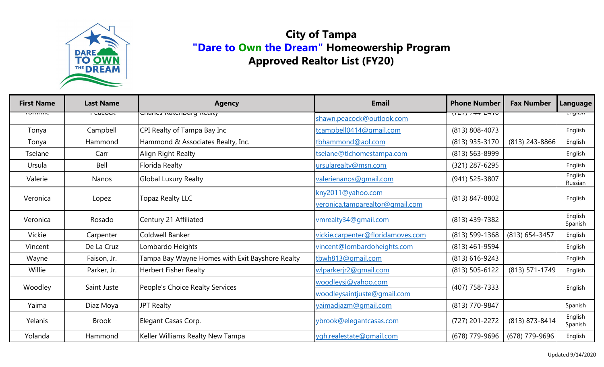

| <b>First Name</b> | <b>Last Name</b>    | <b>Agency</b>                                   | <b>Email</b>                                                         | <b>Phone Number</b> | <b>Fax Number</b> | Language           |
|-------------------|---------------------|-------------------------------------------------|----------------------------------------------------------------------|---------------------|-------------------|--------------------|
| <u>יטווווווור</u> | r <del>cacucn</del> | הומווכז ולטובווטטוק ולכמונץ                     | shawn.peacock@outlook.com                                            | $(121) 144 - 2410$  |                   | <u>Luguan</u>      |
| Tonya             | Campbell            | CPI Realty of Tampa Bay Inc                     | tcampbell0414@qmail.com                                              | (813) 808-4073      |                   | English            |
| Tonya             | Hammond             | Hammond & Associates Realty, Inc.               | tbhammond@aol.com                                                    | (813) 935-3170      | $(813)$ 243-8866  | English            |
| <b>Tselane</b>    | Carr                | Align Right Realty                              | tselane@tlchomestampa.com                                            | (813) 563-8999      |                   | English            |
| Ursula            | Bell                | <b>Florida Realty</b>                           | ursularealty@msn.com                                                 | (321) 287-6295      |                   | English            |
| Valerie           | Nanos               | <b>Global Luxury Realty</b>                     | valerienanos@gmail.com                                               | (941) 525-3807      |                   | English<br>Russian |
| Veronica          | Lopez               |                                                 | kny2011@yahoo.com                                                    | (813) 847-8802      |                   | English            |
|                   |                     | <b>Topaz Realty LLC</b>                         | veronica.tamparealtor@gmail.com                                      |                     |                   |                    |
| Veronica          | Rosado              | Century 21 Affiliated                           | vmrealty34@gmail.com                                                 | (813) 439-7382      |                   | English<br>Spanish |
| Vickie            | Carpenter           | Coldwell Banker                                 | vickie.carpenter@floridamoves.com                                    | (813) 599-1368      | (813) 654-3457    | English            |
| Vincent           | De La Cruz          | Lombardo Heights                                | vincent@lombardoheights.com                                          | (813) 461-9594      |                   | English            |
| Wayne             | Faison, Jr.         | Tampa Bay Wayne Homes with Exit Bayshore Realty | tbwh813@gmail.com                                                    | $(813) 616 - 9243$  |                   | English            |
| Willie            | Parker, Jr.         | <b>Herbert Fisher Realty</b>                    | wlparkerjr2@gmail.com                                                | (813) 505-6122      | (813) 571-1749    | English            |
| Woodley           | Saint Juste         | People's Choice Realty Services                 | woodleysj@yahoo.com<br>(407) 758-7333<br>woodleysaintjuste@gmail.com |                     |                   |                    |
|                   |                     |                                                 |                                                                      |                     | English           |                    |
| Yaima             | Diaz Moya           | <b>JPT Realty</b>                               | yaimadiazm@gmail.com                                                 | (813) 770-9847      |                   | Spanish            |
| Yelanis           | <b>Brook</b>        | Elegant Casas Corp.                             | ybrook@elegantcasas.com                                              | (727) 201-2272      | (813) 873-8414    | English<br>Spanish |
| Yolanda           | Hammond             | Keller Williams Realty New Tampa                | ygh.realestate@gmail.com                                             | (678) 779-9696      | (678) 779-9696    | English            |